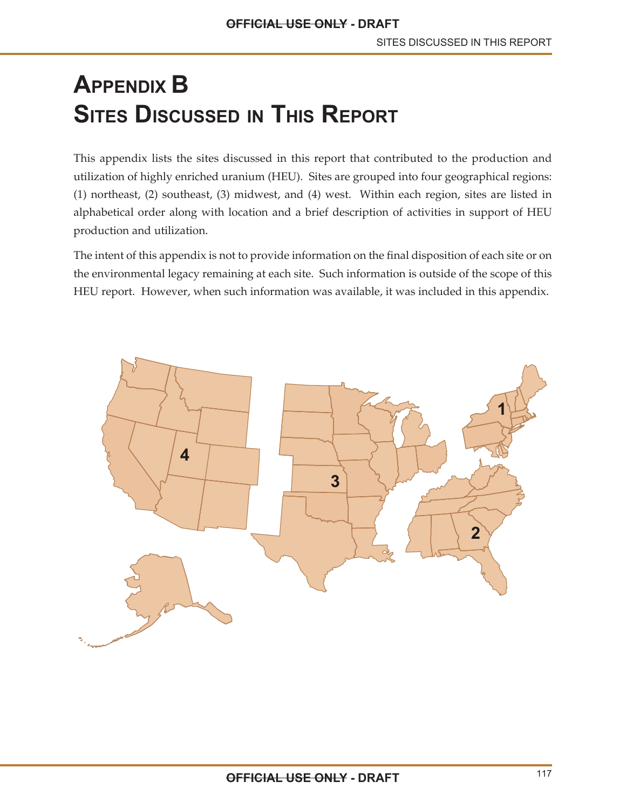# **APPENDIX B SITES DISCUSSED IN THIS REPORT**

This appendix lists the sites discussed in this report that contributed to the production and utilization of highly enriched uranium (HEU). Sites are grouped into four geographical regions: (1) northeast, (2) southeast, (3) midwest, and (4) west. Within each region, sites are listed in alphabetical order along with location and a brief description of activities in support of HEU production and utilization.

The intent of this appendix is not to provide information on the final disposition of each site or on the environmental legacy remaining at each site. Such information is outside of the scope of this HEU report. However, when such information was available, it was included in this appendix.

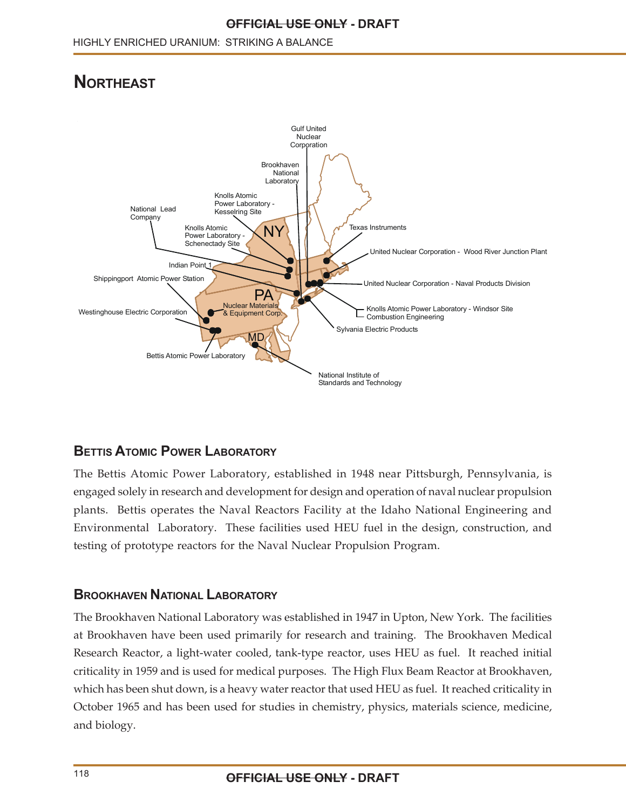# **NORTHEAST**



# **BETTIS ATOMIC POWER LABORATORY**

The Bettis Atomic Power Laboratory, established in 1948 near Pittsburgh, Pennsylvania, is engaged solely in research and development for design and operation of naval nuclear propulsion plants. Bettis operates the Naval Reactors Facility at the Idaho National Engineering and Environmental Laboratory. These facilities used HEU fuel in the design, construction, and testing of prototype reactors for the Naval Nuclear Propulsion Program.

#### **BROOKHAVEN NATIONAL LABORATORY**

The Brookhaven National Laboratory was established in 1947 in Upton, New York. The facilities at Brookhaven have been used primarily for research and training. The Brookhaven Medical Research Reactor, a light-water cooled, tank-type reactor, uses HEU as fuel. It reached initial criticality in 1959 and is used for medical purposes. The High Flux Beam Reactor at Brookhaven, which has been shut down, is a heavy water reactor that used HEU as fuel. It reached criticality in October 1965 and has been used for studies in chemistry, physics, materials science, medicine, and biology.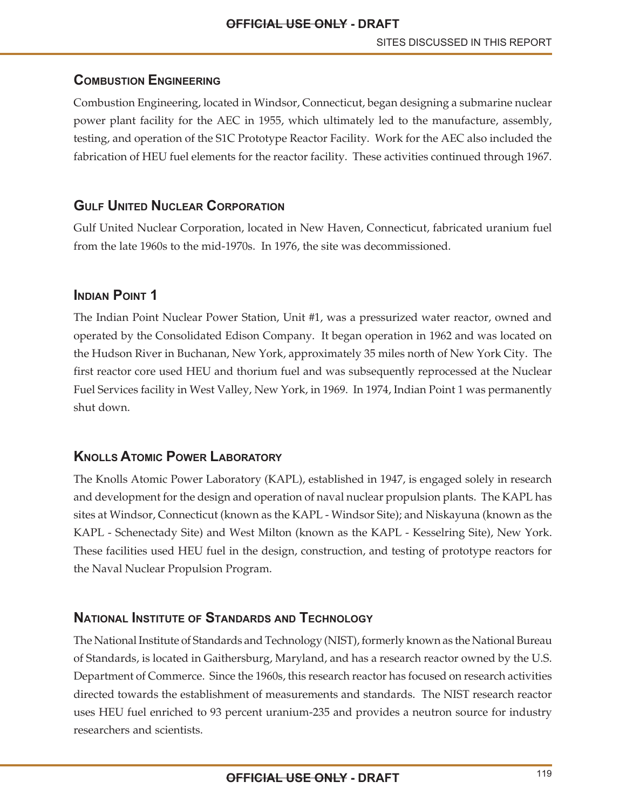# **COMBUSTION ENGINEERING**

Combustion Engineering, located in Windsor, Connecticut, began designing a submarine nuclear power plant facility for the AEC in 1955, which ultimately led to the manufacture, assembly, testing, and operation of the S1C Prototype Reactor Facility. Work for the AEC also included the fabrication of HEU fuel elements for the reactor facility. These activities continued through 1967.

# **GULF UNITED NUCLEAR CORPORATION**

Gulf United Nuclear Corporation, located in New Haven, Connecticut, fabricated uranium fuel from the late 1960s to the mid-1970s. In 1976, the site was decommissioned.

#### **INDIAN POINT 1**

The Indian Point Nuclear Power Station, Unit #1, was a pressurized water reactor, owned and operated by the Consolidated Edison Company. It began operation in 1962 and was located on the Hudson River in Buchanan, New York, approximately 35 miles north of New York City. The first reactor core used HEU and thorium fuel and was subsequently reprocessed at the Nuclear Fuel Services facility in West Valley, New York, in 1969. In 1974, Indian Point 1 was permanently shut down.

# **KNOLLS ATOMIC POWER LABORATORY**

The Knolls Atomic Power Laboratory (KAPL), established in 1947, is engaged solely in research and development for the design and operation of naval nuclear propulsion plants. The KAPL has sites at Windsor, Connecticut (known as the KAPL - Windsor Site); and Niskayuna (known as the KAPL - Schenectady Site) and West Milton (known as the KAPL - Kesselring Site), New York. These facilities used HEU fuel in the design, construction, and testing of prototype reactors for the Naval Nuclear Propulsion Program.

# **NATIONAL INSTITUTE OF STANDARDS AND TECHNOLOGY**

The National Institute of Standards and Technology (NIST), formerly known as the National Bureau of Standards, is located in Gaithersburg, Maryland, and has a research reactor owned by the U.S. Department of Commerce. Since the 1960s, this research reactor has focused on research activities directed towards the establishment of measurements and standards. The NIST research reactor uses HEU fuel enriched to 93 percent uranium-235 and provides a neutron source for industry researchers and scientists.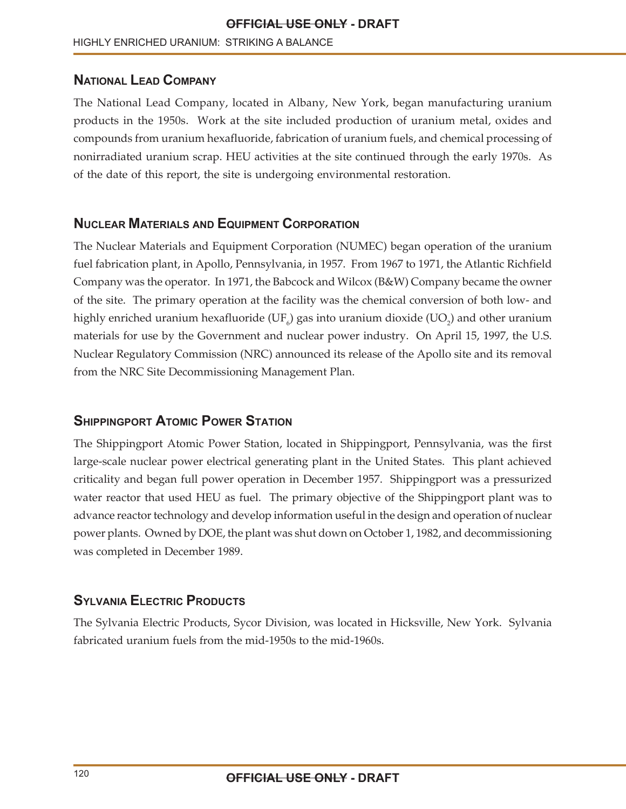#### **NATIONAL LEAD COMPANY**

The National Lead Company, located in Albany, New York, began manufacturing uranium products in the 1950s. Work at the site included production of uranium metal, oxides and compounds from uranium hexafluoride, fabrication of uranium fuels, and chemical processing of nonirradiated uranium scrap. HEU activities at the site continued through the early 1970s. As of the date of this report, the site is undergoing environmental restoration.

#### **NUCLEAR MATERIALS AND EQUIPMENT CORPORATION**

The Nuclear Materials and Equipment Corporation (NUMEC) began operation of the uranium fuel fabrication plant, in Apollo, Pennsylvania, in 1957. From 1967 to 1971, the Atlantic Richfield Company was the operator. In 1971, the Babcock and Wilcox (B&W) Company became the owner of the site. The primary operation at the facility was the chemical conversion of both low- and highly enriched uranium hexafluoride (UF $_{\rm e}$ ) gas into uranium dioxide (UO $_{\rm 2}$ ) and other uranium materials for use by the Government and nuclear power industry. On April 15, 1997, the U.S. Nuclear Regulatory Commission (NRC) announced its release of the Apollo site and its removal from the NRC Site Decommissioning Management Plan.

#### **SHIPPINGPORT ATOMIC POWER STATION**

The Shippingport Atomic Power Station, located in Shippingport, Pennsylvania, was the first large-scale nuclear power electrical generating plant in the United States. This plant achieved criticality and began full power operation in December 1957. Shippingport was a pressurized water reactor that used HEU as fuel. The primary objective of the Shippingport plant was to advance reactor technology and develop information useful in the design and operation of nuclear power plants. Owned by DOE, the plant was shut down on October 1, 1982, and decommissioning was completed in December 1989.

# **SYLVANIA ELECTRIC PRODUCTS**

The Sylvania Electric Products, Sycor Division, was located in Hicksville, New York. Sylvania fabricated uranium fuels from the mid-1950s to the mid-1960s.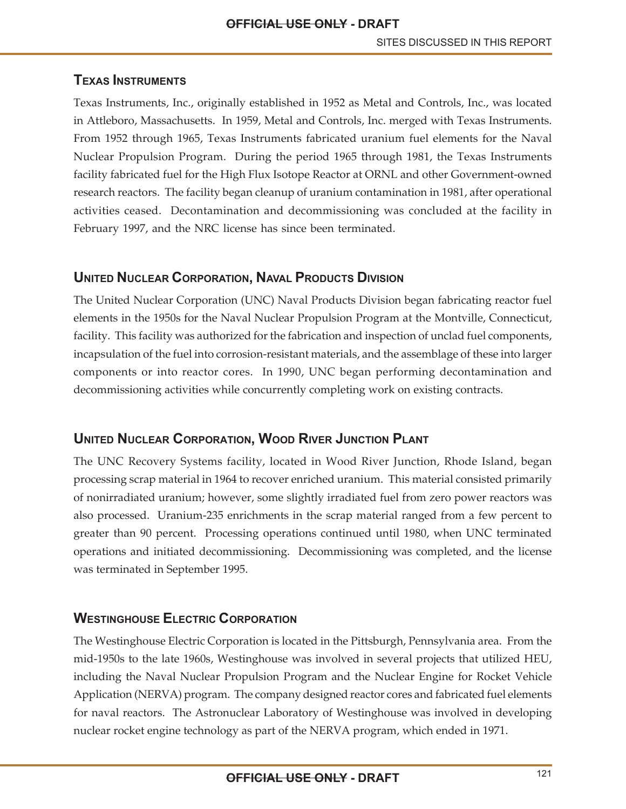# **TEXAS INSTRUMENTS**

Texas Instruments, Inc., originally established in 1952 as Metal and Controls, Inc., was located in Attleboro, Massachusetts. In 1959, Metal and Controls, Inc. merged with Texas Instruments. From 1952 through 1965, Texas Instruments fabricated uranium fuel elements for the Naval Nuclear Propulsion Program. During the period 1965 through 1981, the Texas Instruments facility fabricated fuel for the High Flux Isotope Reactor at ORNL and other Government-owned research reactors. The facility began cleanup of uranium contamination in 1981, after operational activities ceased. Decontamination and decommissioning was concluded at the facility in February 1997, and the NRC license has since been terminated.

# **UNITED NUCLEAR CORPORATION, NAVAL PRODUCTS DIVISION**

The United Nuclear Corporation (UNC) Naval Products Division began fabricating reactor fuel elements in the 1950s for the Naval Nuclear Propulsion Program at the Montville, Connecticut, facility. This facility was authorized for the fabrication and inspection of unclad fuel components, incapsulation of the fuel into corrosion-resistant materials, and the assemblage of these into larger components or into reactor cores. In 1990, UNC began performing decontamination and decommissioning activities while concurrently completing work on existing contracts.

# **UNITED NUCLEAR CORPORATION, WOOD RIVER JUNCTION PLANT**

The UNC Recovery Systems facility, located in Wood River Junction, Rhode Island, began processing scrap material in 1964 to recover enriched uranium. This material consisted primarily of nonirradiated uranium; however, some slightly irradiated fuel from zero power reactors was also processed. Uranium-235 enrichments in the scrap material ranged from a few percent to greater than 90 percent. Processing operations continued until 1980, when UNC terminated operations and initiated decommissioning. Decommissioning was completed, and the license was terminated in September 1995.

# **WESTINGHOUSE ELECTRIC CORPORATION**

The Westinghouse Electric Corporation is located in the Pittsburgh, Pennsylvania area. From the mid-1950s to the late 1960s, Westinghouse was involved in several projects that utilized HEU, including the Naval Nuclear Propulsion Program and the Nuclear Engine for Rocket Vehicle Application (NERVA) program. The company designed reactor cores and fabricated fuel elements for naval reactors. The Astronuclear Laboratory of Westinghouse was involved in developing nuclear rocket engine technology as part of the NERVA program, which ended in 1971.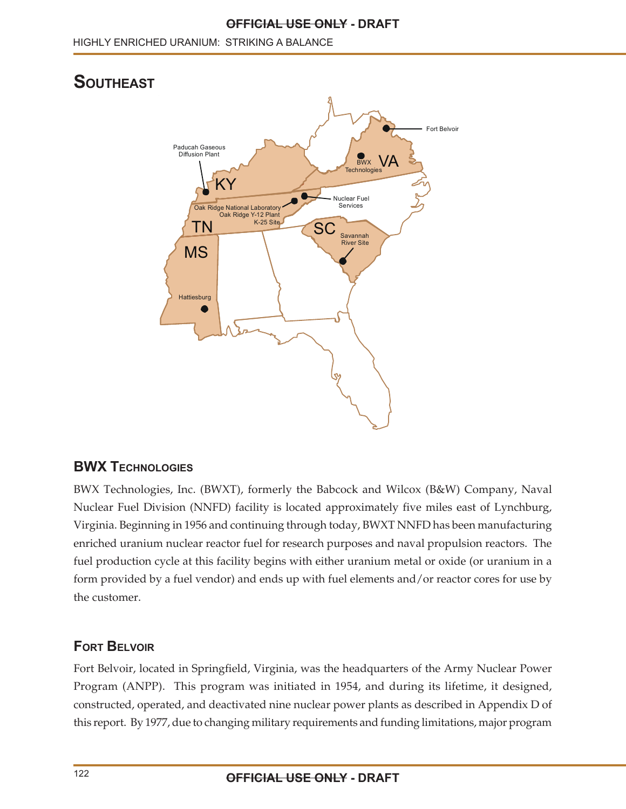#### **OFFICIAL USE ONLY - DRAFT**

# **SOUTHEAST**



#### **BWX TECHNOLOGIES**

BWX Technologies, Inc. (BWXT), formerly the Babcock and Wilcox (B&W) Company, Naval Nuclear Fuel Division (NNFD) facility is located approximately five miles east of Lynchburg, Virginia. Beginning in 1956 and continuing through today, BWXT NNFD has been manufacturing enriched uranium nuclear reactor fuel for research purposes and naval propulsion reactors. The fuel production cycle at this facility begins with either uranium metal or oxide (or uranium in a form provided by a fuel vendor) and ends up with fuel elements and/or reactor cores for use by the customer.

# **FORT BELVOIR**

Fort Belvoir, located in Springfield, Virginia, was the headquarters of the Army Nuclear Power Program (ANPP). This program was initiated in 1954, and during its lifetime, it designed, constructed, operated, and deactivated nine nuclear power plants as described in Appendix D of this report. By 1977, due to changing military requirements and funding limitations, major program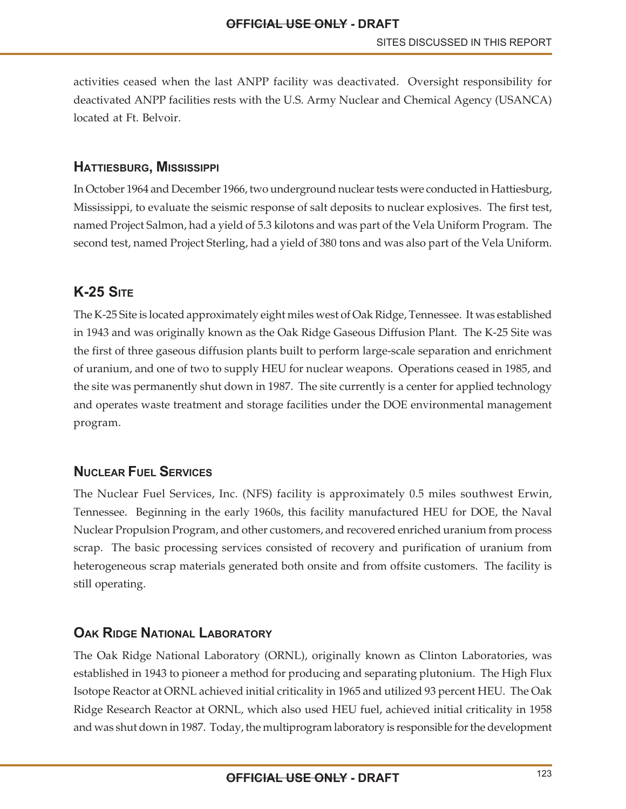activities ceased when the last ANPP facility was deactivated. Oversight responsibility for deactivated ANPP facilities rests with the U.S. Army Nuclear and Chemical Agency (USANCA) located at Ft. Belvoir.

#### **HATTIESBURG, MISSISSIPPI**

In October 1964 and December 1966, two underground nuclear tests were conducted in Hattiesburg, Mississippi, to evaluate the seismic response of salt deposits to nuclear explosives. The first test, named Project Salmon, had a yield of 5.3 kilotons and was part of the Vela Uniform Program. The second test, named Project Sterling, had a yield of 380 tons and was also part of the Vela Uniform.

# **K-25 SITE**

The K-25 Site is located approximately eight miles west of Oak Ridge, Tennessee. It was established in 1943 and was originally known as the Oak Ridge Gaseous Diffusion Plant. The K-25 Site was the first of three gaseous diffusion plants built to perform large-scale separation and enrichment of uranium, and one of two to supply HEU for nuclear weapons. Operations ceased in 1985, and the site was permanently shut down in 1987. The site currently is a center for applied technology and operates waste treatment and storage facilities under the DOE environmental management program.

#### **NUCLEAR FUEL SERVICES**

The Nuclear Fuel Services, Inc. (NFS) facility is approximately 0.5 miles southwest Erwin, Tennessee. Beginning in the early 1960s, this facility manufactured HEU for DOE, the Naval Nuclear Propulsion Program, and other customers, and recovered enriched uranium from process scrap. The basic processing services consisted of recovery and purification of uranium from heterogeneous scrap materials generated both onsite and from offsite customers. The facility is still operating.

#### **OAK RIDGE NATIONAL LABORATORY**

The Oak Ridge National Laboratory (ORNL), originally known as Clinton Laboratories, was established in 1943 to pioneer a method for producing and separating plutonium. The High Flux Isotope Reactor at ORNL achieved initial criticality in 1965 and utilized 93 percent HEU. The Oak Ridge Research Reactor at ORNL, which also used HEU fuel, achieved initial criticality in 1958 and was shut down in 1987. Today, the multiprogram laboratory is responsible for the development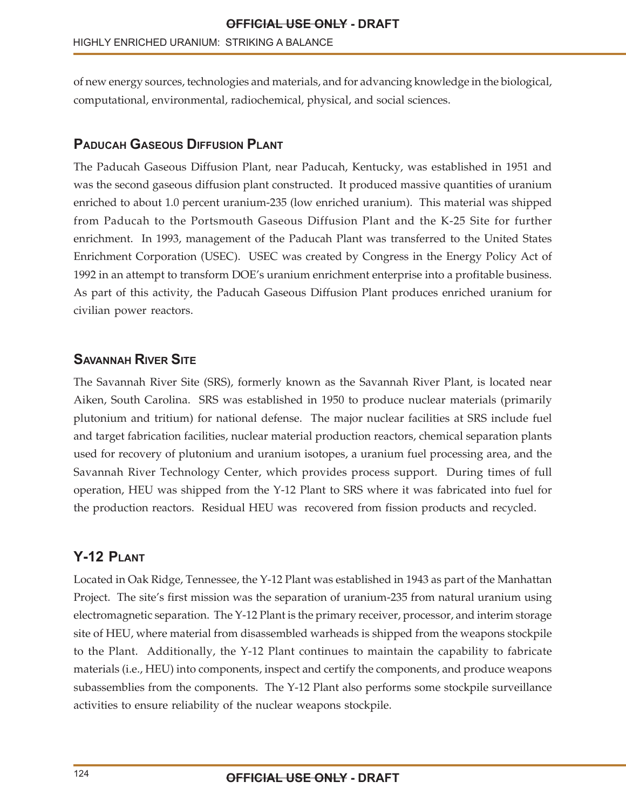of new energy sources, technologies and materials, and for advancing knowledge in the biological, computational, environmental, radiochemical, physical, and social sciences.

# **PADUCAH GASEOUS DIFFUSION PLANT**

The Paducah Gaseous Diffusion Plant, near Paducah, Kentucky, was established in 1951 and was the second gaseous diffusion plant constructed. It produced massive quantities of uranium enriched to about 1.0 percent uranium-235 (low enriched uranium). This material was shipped from Paducah to the Portsmouth Gaseous Diffusion Plant and the K-25 Site for further enrichment. In 1993, management of the Paducah Plant was transferred to the United States Enrichment Corporation (USEC). USEC was created by Congress in the Energy Policy Act of 1992 in an attempt to transform DOE's uranium enrichment enterprise into a profitable business. As part of this activity, the Paducah Gaseous Diffusion Plant produces enriched uranium for civilian power reactors.

# **SAVANNAH RIVER SITE**

The Savannah River Site (SRS), formerly known as the Savannah River Plant, is located near Aiken, South Carolina. SRS was established in 1950 to produce nuclear materials (primarily plutonium and tritium) for national defense. The major nuclear facilities at SRS include fuel and target fabrication facilities, nuclear material production reactors, chemical separation plants used for recovery of plutonium and uranium isotopes, a uranium fuel processing area, and the Savannah River Technology Center, which provides process support. During times of full operation, HEU was shipped from the Y-12 Plant to SRS where it was fabricated into fuel for the production reactors. Residual HEU was recovered from fission products and recycled.

# **Y-12 PLANT**

Located in Oak Ridge, Tennessee, the Y-12 Plant was established in 1943 as part of the Manhattan Project. The site's first mission was the separation of uranium-235 from natural uranium using electromagnetic separation. The Y-12 Plant is the primary receiver, processor, and interim storage site of HEU, where material from disassembled warheads is shipped from the weapons stockpile to the Plant. Additionally, the Y-12 Plant continues to maintain the capability to fabricate materials (i.e., HEU) into components, inspect and certify the components, and produce weapons subassemblies from the components. The Y-12 Plant also performs some stockpile surveillance activities to ensure reliability of the nuclear weapons stockpile.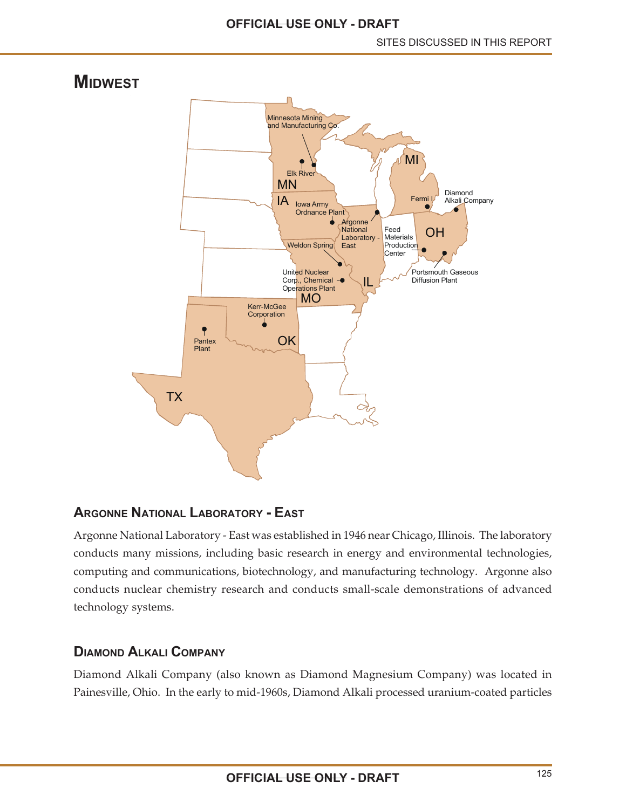

# **ARGONNE NATIONAL LABORATORY - EAST**

Argonne National Laboratory - East was established in 1946 near Chicago, Illinois. The laboratory conducts many missions, including basic research in energy and environmental technologies, computing and communications, biotechnology, and manufacturing technology. Argonne also conducts nuclear chemistry research and conducts small-scale demonstrations of advanced technology systems.

#### **DIAMOND ALKALI COMPANY**

Diamond Alkali Company (also known as Diamond Magnesium Company) was located in Painesville, Ohio. In the early to mid-1960s, Diamond Alkali processed uranium-coated particles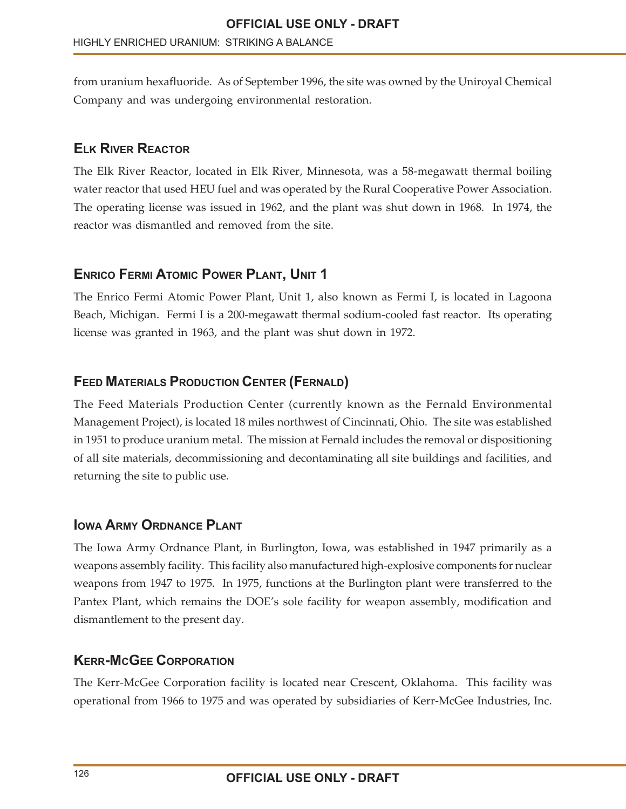from uranium hexafluoride. As of September 1996, the site was owned by the Uniroyal Chemical Company and was undergoing environmental restoration.

#### **ELK RIVER REACTOR**

The Elk River Reactor, located in Elk River, Minnesota, was a 58-megawatt thermal boiling water reactor that used HEU fuel and was operated by the Rural Cooperative Power Association. The operating license was issued in 1962, and the plant was shut down in 1968. In 1974, the reactor was dismantled and removed from the site.

#### **ENRICO FERMI ATOMIC POWER PLANT, UNIT 1**

The Enrico Fermi Atomic Power Plant, Unit 1, also known as Fermi I, is located in Lagoona Beach, Michigan. Fermi I is a 200-megawatt thermal sodium-cooled fast reactor. Its operating license was granted in 1963, and the plant was shut down in 1972.

# **FEED MATERIALS PRODUCTION CENTER (FERNALD)**

The Feed Materials Production Center (currently known as the Fernald Environmental Management Project), is located 18 miles northwest of Cincinnati, Ohio. The site was established in 1951 to produce uranium metal. The mission at Fernald includes the removal or dispositioning of all site materials, decommissioning and decontaminating all site buildings and facilities, and returning the site to public use.

#### **IOWA ARMY ORDNANCE PLANT**

The Iowa Army Ordnance Plant, in Burlington, Iowa, was established in 1947 primarily as a weapons assembly facility. This facility also manufactured high-explosive components for nuclear weapons from 1947 to 1975. In 1975, functions at the Burlington plant were transferred to the Pantex Plant, which remains the DOE's sole facility for weapon assembly, modification and dismantlement to the present day.

#### **KERR-MCGEE CORPORATION**

The Kerr-McGee Corporation facility is located near Crescent, Oklahoma. This facility was operational from 1966 to 1975 and was operated by subsidiaries of Kerr-McGee Industries, Inc.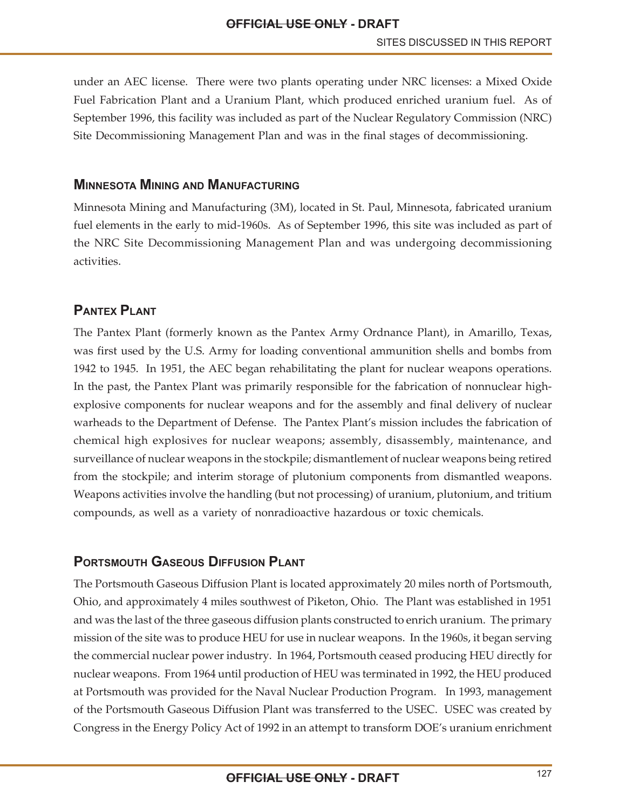under an AEC license. There were two plants operating under NRC licenses: a Mixed Oxide Fuel Fabrication Plant and a Uranium Plant, which produced enriched uranium fuel. As of September 1996, this facility was included as part of the Nuclear Regulatory Commission (NRC) Site Decommissioning Management Plan and was in the final stages of decommissioning.

#### **MINNESOTA MINING AND MANUFACTURING**

Minnesota Mining and Manufacturing (3M), located in St. Paul, Minnesota, fabricated uranium fuel elements in the early to mid-1960s. As of September 1996, this site was included as part of the NRC Site Decommissioning Management Plan and was undergoing decommissioning activities.

#### **PANTEX PLANT**

The Pantex Plant (formerly known as the Pantex Army Ordnance Plant), in Amarillo, Texas, was first used by the U.S. Army for loading conventional ammunition shells and bombs from 1942 to 1945. In 1951, the AEC began rehabilitating the plant for nuclear weapons operations. In the past, the Pantex Plant was primarily responsible for the fabrication of nonnuclear highexplosive components for nuclear weapons and for the assembly and final delivery of nuclear warheads to the Department of Defense. The Pantex Plant's mission includes the fabrication of chemical high explosives for nuclear weapons; assembly, disassembly, maintenance, and surveillance of nuclear weapons in the stockpile; dismantlement of nuclear weapons being retired from the stockpile; and interim storage of plutonium components from dismantled weapons. Weapons activities involve the handling (but not processing) of uranium, plutonium, and tritium compounds, as well as a variety of nonradioactive hazardous or toxic chemicals.

#### **PORTSMOUTH GASEOUS DIFFUSION PLANT**

The Portsmouth Gaseous Diffusion Plant is located approximately 20 miles north of Portsmouth, Ohio, and approximately 4 miles southwest of Piketon, Ohio. The Plant was established in 1951 and was the last of the three gaseous diffusion plants constructed to enrich uranium. The primary mission of the site was to produce HEU for use in nuclear weapons. In the 1960s, it began serving the commercial nuclear power industry. In 1964, Portsmouth ceased producing HEU directly for nuclear weapons. From 1964 until production of HEU was terminated in 1992, the HEU produced at Portsmouth was provided for the Naval Nuclear Production Program. In 1993, management of the Portsmouth Gaseous Diffusion Plant was transferred to the USEC. USEC was created by Congress in the Energy Policy Act of 1992 in an attempt to transform DOE's uranium enrichment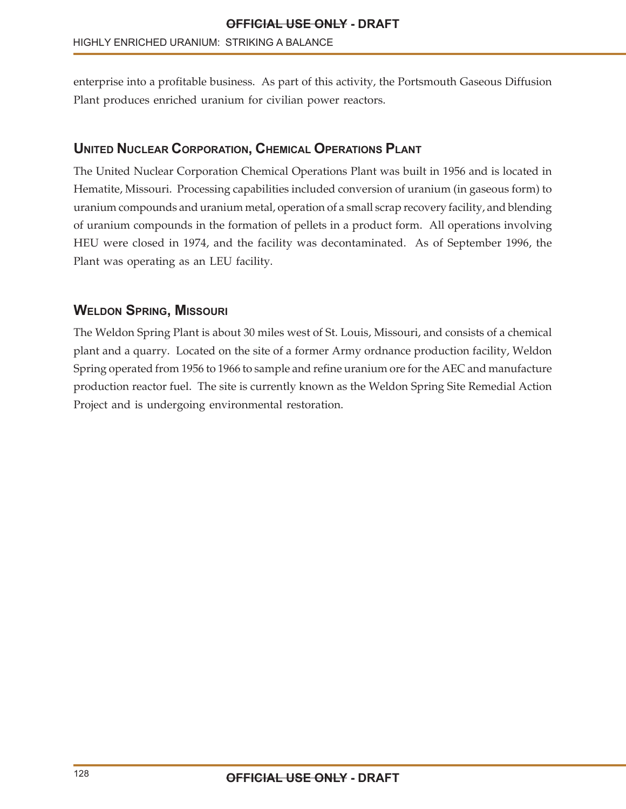enterprise into a profitable business. As part of this activity, the Portsmouth Gaseous Diffusion Plant produces enriched uranium for civilian power reactors.

# **UNITED NUCLEAR CORPORATION, CHEMICAL OPERATIONS PLANT**

The United Nuclear Corporation Chemical Operations Plant was built in 1956 and is located in Hematite, Missouri. Processing capabilities included conversion of uranium (in gaseous form) to uranium compounds and uranium metal, operation of a small scrap recovery facility, and blending of uranium compounds in the formation of pellets in a product form. All operations involving HEU were closed in 1974, and the facility was decontaminated. As of September 1996, the Plant was operating as an LEU facility.

#### **WELDON SPRING, MISSOURI**

The Weldon Spring Plant is about 30 miles west of St. Louis, Missouri, and consists of a chemical plant and a quarry. Located on the site of a former Army ordnance production facility, Weldon Spring operated from 1956 to 1966 to sample and refine uranium ore for the AEC and manufacture production reactor fuel. The site is currently known as the Weldon Spring Site Remedial Action Project and is undergoing environmental restoration.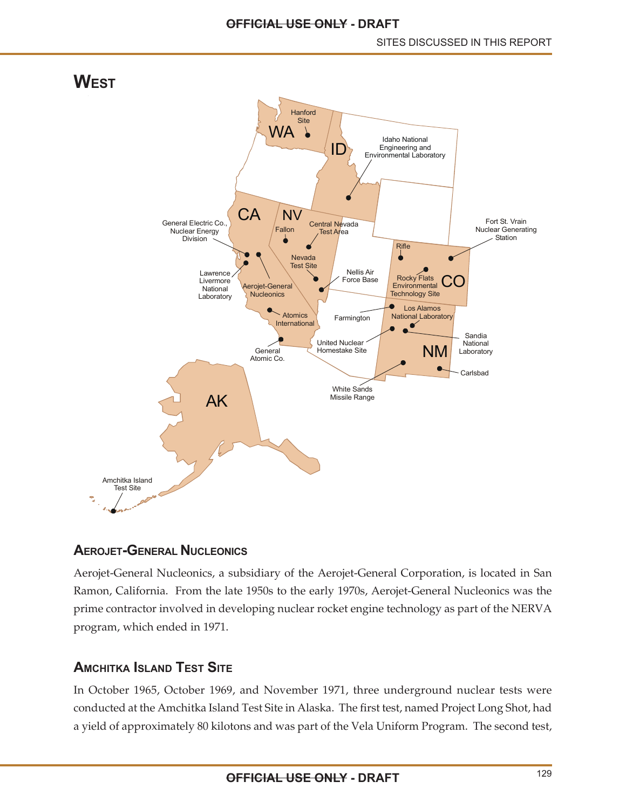

#### **AEROJET-GENERAL NUCLEONICS**

Aerojet-General Nucleonics, a subsidiary of the Aerojet-General Corporation, is located in San Ramon, California. From the late 1950s to the early 1970s, Aerojet-General Nucleonics was the prime contractor involved in developing nuclear rocket engine technology as part of the NERVA program, which ended in 1971.

# **AMCHITKA ISLAND TEST SITE**

In October 1965, October 1969, and November 1971, three underground nuclear tests were conducted at the Amchitka Island Test Site in Alaska. The first test, named Project Long Shot, had a yield of approximately 80 kilotons and was part of the Vela Uniform Program. The second test,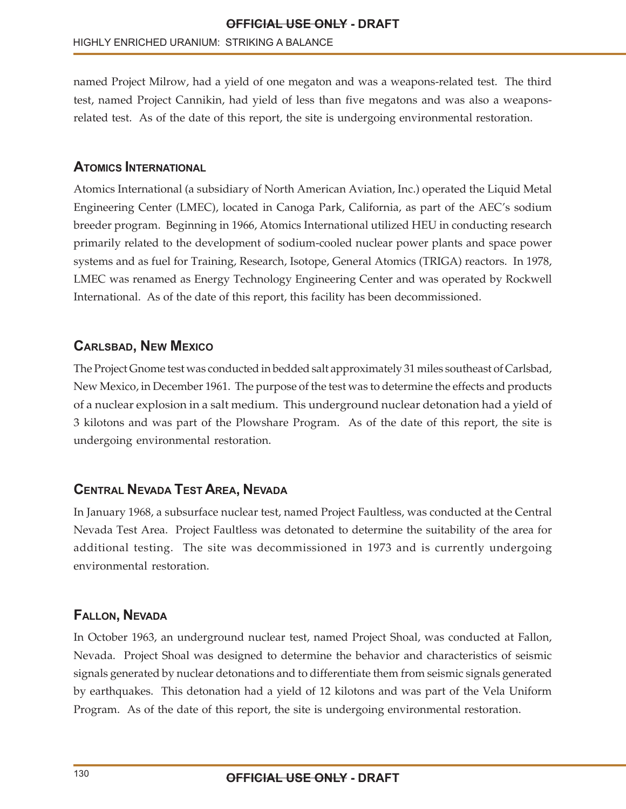named Project Milrow, had a yield of one megaton and was a weapons-related test. The third test, named Project Cannikin, had yield of less than five megatons and was also a weaponsrelated test. As of the date of this report, the site is undergoing environmental restoration.

#### **ATOMICS INTERNATIONAL**

Atomics International (a subsidiary of North American Aviation, Inc.) operated the Liquid Metal Engineering Center (LMEC), located in Canoga Park, California, as part of the AEC's sodium breeder program. Beginning in 1966, Atomics International utilized HEU in conducting research primarily related to the development of sodium-cooled nuclear power plants and space power systems and as fuel for Training, Research, Isotope, General Atomics (TRIGA) reactors. In 1978, LMEC was renamed as Energy Technology Engineering Center and was operated by Rockwell International. As of the date of this report, this facility has been decommissioned.

#### **CARLSBAD, NEW MEXICO**

The Project Gnome test was conducted in bedded salt approximately 31 miles southeast of Carlsbad, New Mexico, in December 1961. The purpose of the test was to determine the effects and products of a nuclear explosion in a salt medium. This underground nuclear detonation had a yield of 3 kilotons and was part of the Plowshare Program. As of the date of this report, the site is undergoing environmental restoration.

#### **CENTRAL NEVADA TEST AREA, NEVADA**

In January 1968, a subsurface nuclear test, named Project Faultless, was conducted at the Central Nevada Test Area. Project Faultless was detonated to determine the suitability of the area for additional testing. The site was decommissioned in 1973 and is currently undergoing environmental restoration.

#### **FALLON, NEVADA**

In October 1963, an underground nuclear test, named Project Shoal, was conducted at Fallon, Nevada. Project Shoal was designed to determine the behavior and characteristics of seismic signals generated by nuclear detonations and to differentiate them from seismic signals generated by earthquakes. This detonation had a yield of 12 kilotons and was part of the Vela Uniform Program. As of the date of this report, the site is undergoing environmental restoration.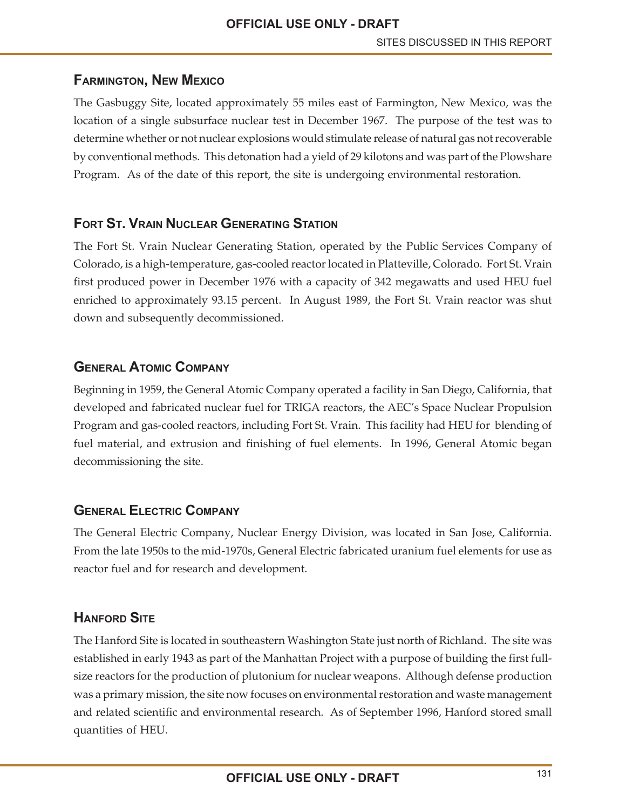# **FARMINGTON, NEW MEXICO**

The Gasbuggy Site, located approximately 55 miles east of Farmington, New Mexico, was the location of a single subsurface nuclear test in December 1967. The purpose of the test was to determine whether or not nuclear explosions would stimulate release of natural gas not recoverable by conventional methods. This detonation had a yield of 29 kilotons and was part of the Plowshare Program. As of the date of this report, the site is undergoing environmental restoration.

# **FORT ST. VRAIN NUCLEAR GENERATING STATION**

The Fort St. Vrain Nuclear Generating Station, operated by the Public Services Company of Colorado, is a high-temperature, gas-cooled reactor located in Platteville, Colorado. Fort St. Vrain first produced power in December 1976 with a capacity of 342 megawatts and used HEU fuel enriched to approximately 93.15 percent. In August 1989, the Fort St. Vrain reactor was shut down and subsequently decommissioned.

# **GENERAL ATOMIC COMPANY**

Beginning in 1959, the General Atomic Company operated a facility in San Diego, California, that developed and fabricated nuclear fuel for TRIGA reactors, the AEC's Space Nuclear Propulsion Program and gas-cooled reactors, including Fort St. Vrain. This facility had HEU for blending of fuel material, and extrusion and finishing of fuel elements. In 1996, General Atomic began decommissioning the site.

# **GENERAL ELECTRIC COMPANY**

The General Electric Company, Nuclear Energy Division, was located in San Jose, California. From the late 1950s to the mid-1970s, General Electric fabricated uranium fuel elements for use as reactor fuel and for research and development.

# **HANFORD SITE**

The Hanford Site is located in southeastern Washington State just north of Richland. The site was established in early 1943 as part of the Manhattan Project with a purpose of building the first fullsize reactors for the production of plutonium for nuclear weapons. Although defense production was a primary mission, the site now focuses on environmental restoration and waste management and related scientific and environmental research. As of September 1996, Hanford stored small quantities of HEU.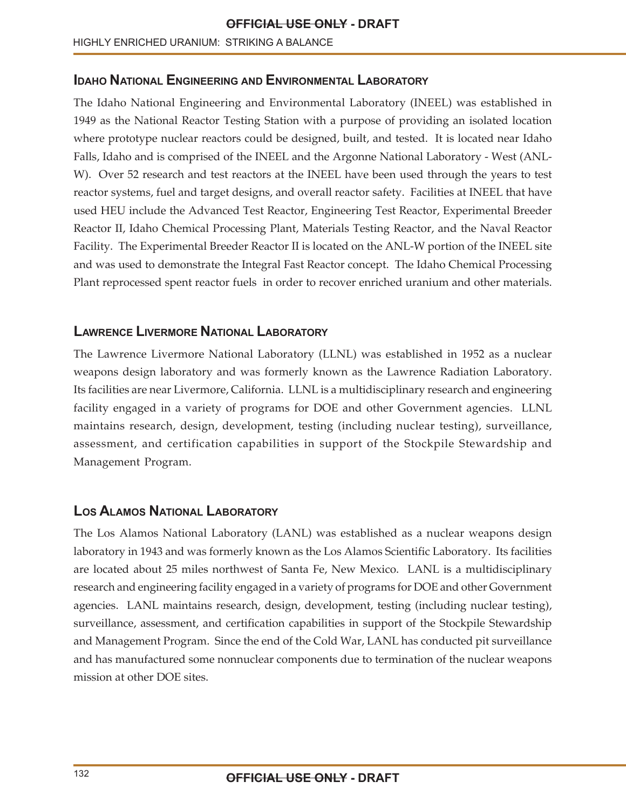#### **IDAHO NATIONAL ENGINEERING AND ENVIRONMENTAL LABORATORY**

The Idaho National Engineering and Environmental Laboratory (INEEL) was established in 1949 as the National Reactor Testing Station with a purpose of providing an isolated location where prototype nuclear reactors could be designed, built, and tested. It is located near Idaho Falls, Idaho and is comprised of the INEEL and the Argonne National Laboratory - West (ANL-W). Over 52 research and test reactors at the INEEL have been used through the years to test reactor systems, fuel and target designs, and overall reactor safety. Facilities at INEEL that have used HEU include the Advanced Test Reactor, Engineering Test Reactor, Experimental Breeder Reactor II, Idaho Chemical Processing Plant, Materials Testing Reactor, and the Naval Reactor Facility. The Experimental Breeder Reactor II is located on the ANL-W portion of the INEEL site and was used to demonstrate the Integral Fast Reactor concept. The Idaho Chemical Processing Plant reprocessed spent reactor fuels in order to recover enriched uranium and other materials.

#### **LAWRENCE LIVERMORE NATIONAL LABORATORY**

The Lawrence Livermore National Laboratory (LLNL) was established in 1952 as a nuclear weapons design laboratory and was formerly known as the Lawrence Radiation Laboratory. Its facilities are near Livermore, California. LLNL is a multidisciplinary research and engineering facility engaged in a variety of programs for DOE and other Government agencies. LLNL maintains research, design, development, testing (including nuclear testing), surveillance, assessment, and certification capabilities in support of the Stockpile Stewardship and Management Program.

#### **LOS ALAMOS NATIONAL LABORATORY**

The Los Alamos National Laboratory (LANL) was established as a nuclear weapons design laboratory in 1943 and was formerly known as the Los Alamos Scientific Laboratory. Its facilities are located about 25 miles northwest of Santa Fe, New Mexico. LANL is a multidisciplinary research and engineering facility engaged in a variety of programs for DOE and other Government agencies. LANL maintains research, design, development, testing (including nuclear testing), surveillance, assessment, and certification capabilities in support of the Stockpile Stewardship and Management Program. Since the end of the Cold War, LANL has conducted pit surveillance and has manufactured some nonnuclear components due to termination of the nuclear weapons mission at other DOE sites.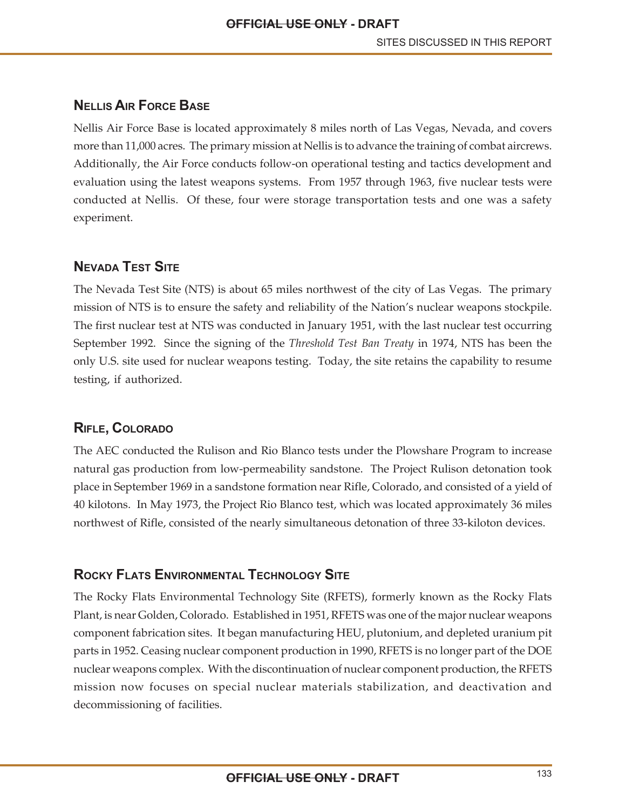# **NELLIS AIR FORCE BASE**

Nellis Air Force Base is located approximately 8 miles north of Las Vegas, Nevada, and covers more than 11,000 acres. The primary mission at Nellis is to advance the training of combat aircrews. Additionally, the Air Force conducts follow-on operational testing and tactics development and evaluation using the latest weapons systems. From 1957 through 1963, five nuclear tests were conducted at Nellis. Of these, four were storage transportation tests and one was a safety experiment.

# **NEVADA TEST SITE**

The Nevada Test Site (NTS) is about 65 miles northwest of the city of Las Vegas. The primary mission of NTS is to ensure the safety and reliability of the Nation's nuclear weapons stockpile. The first nuclear test at NTS was conducted in January 1951, with the last nuclear test occurring September 1992. Since the signing of the *Threshold Test Ban Treaty* in 1974, NTS has been the only U.S. site used for nuclear weapons testing. Today, the site retains the capability to resume testing, if authorized.

# **RIFLE, COLORADO**

The AEC conducted the Rulison and Rio Blanco tests under the Plowshare Program to increase natural gas production from low-permeability sandstone. The Project Rulison detonation took place in September 1969 in a sandstone formation near Rifle, Colorado, and consisted of a yield of 40 kilotons. In May 1973, the Project Rio Blanco test, which was located approximately 36 miles northwest of Rifle, consisted of the nearly simultaneous detonation of three 33-kiloton devices.

# **ROCKY FLATS ENVIRONMENTAL TECHNOLOGY SITE**

The Rocky Flats Environmental Technology Site (RFETS), formerly known as the Rocky Flats Plant, is near Golden, Colorado. Established in 1951, RFETS was one of the major nuclear weapons component fabrication sites. It began manufacturing HEU, plutonium, and depleted uranium pit parts in 1952. Ceasing nuclear component production in 1990, RFETS is no longer part of the DOE nuclear weapons complex. With the discontinuation of nuclear component production, the RFETS mission now focuses on special nuclear materials stabilization, and deactivation and decommissioning of facilities.